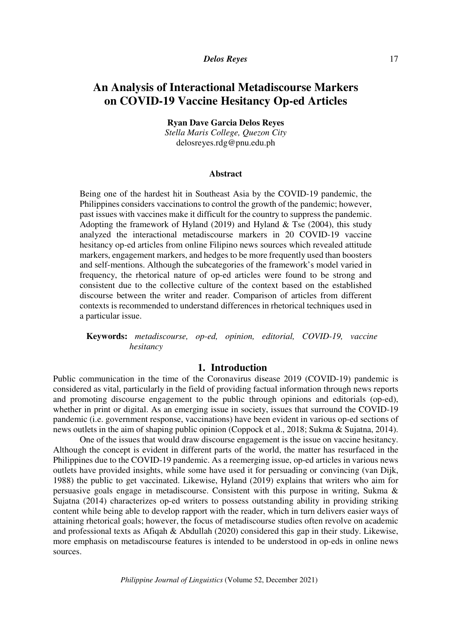# **An Analysis of Interactional Metadiscourse Markers on COVID-19 Vaccine Hesitancy Op-ed Articles**

**Ryan Dave Garcia Delos Reyes** 

*Stella Maris College, Quezon City*  delosreyes.rdg@pnu.edu.ph

### **Abstract**

Being one of the hardest hit in Southeast Asia by the COVID-19 pandemic, the Philippines considers vaccinations to control the growth of the pandemic; however, past issues with vaccines make it difficult for the country to suppress the pandemic. Adopting the framework of Hyland (2019) and Hyland  $&$  Tse (2004), this study analyzed the interactional metadiscourse markers in 20 COVID-19 vaccine hesitancy op-ed articles from online Filipino news sources which revealed attitude markers, engagement markers, and hedges to be more frequently used than boosters and self-mentions. Although the subcategories of the framework's model varied in frequency, the rhetorical nature of op-ed articles were found to be strong and consistent due to the collective culture of the context based on the established discourse between the writer and reader. Comparison of articles from different contexts is recommended to understand differences in rhetorical techniques used in a particular issue.

**Keywords:** *metadiscourse, op-ed, opinion, editorial, COVID-19, vaccine hesitancy* 

# **1. Introduction**

Public communication in the time of the Coronavirus disease 2019 (COVID-19) pandemic is considered as vital, particularly in the field of providing factual information through news reports and promoting discourse engagement to the public through opinions and editorials (op-ed), whether in print or digital. As an emerging issue in society, issues that surround the COVID-19 pandemic (i.e. government response, vaccinations) have been evident in various op-ed sections of news outlets in the aim of shaping public opinion (Coppock et al., 2018; Sukma & Sujatna, 2014).

One of the issues that would draw discourse engagement is the issue on vaccine hesitancy. Although the concept is evident in different parts of the world, the matter has resurfaced in the Philippines due to the COVID-19 pandemic. As a reemerging issue, op-ed articles in various news outlets have provided insights, while some have used it for persuading or convincing (van Dijk, 1988) the public to get vaccinated. Likewise, Hyland (2019) explains that writers who aim for persuasive goals engage in metadiscourse. Consistent with this purpose in writing, Sukma & Sujatna (2014) characterizes op-ed writers to possess outstanding ability in providing striking content while being able to develop rapport with the reader, which in turn delivers easier ways of attaining rhetorical goals; however, the focus of metadiscourse studies often revolve on academic and professional texts as Afiqah & Abdullah (2020) considered this gap in their study. Likewise, more emphasis on metadiscourse features is intended to be understood in op-eds in online news sources.

*Philippine Journal of Linguistics* (Volume 52, December 2021)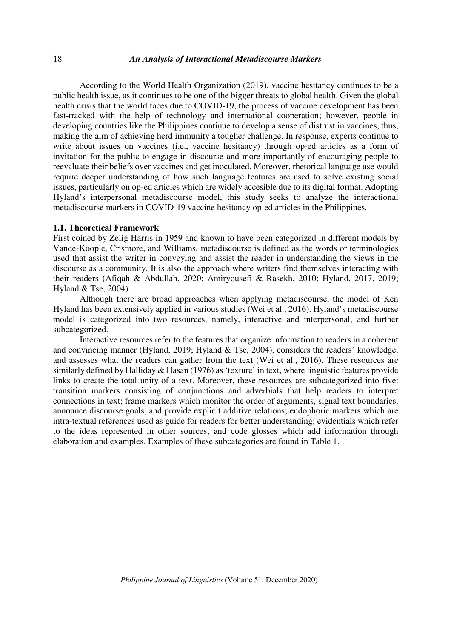### *An Analysis of Interactional Metadiscourse Markers*

According to the World Health Organization (2019), vaccine hesitancy continues to be a public health issue, as it continues to be one of the bigger threats to global health. Given the global health crisis that the world faces due to COVID-19, the process of vaccine development has been fast-tracked with the help of technology and international cooperation; however, people in developing countries like the Philippines continue to develop a sense of distrust in vaccines, thus, making the aim of achieving herd immunity a tougher challenge. In response, experts continue to write about issues on vaccines (i.e., vaccine hesitancy) through op-ed articles as a form of invitation for the public to engage in discourse and more importantly of encouraging people to reevaluate their beliefs over vaccines and get inoculated. Moreover, rhetorical language use would require deeper understanding of how such language features are used to solve existing social issues, particularly on op-ed articles which are widely accesible due to its digital format. Adopting Hyland's interpersonal metadiscourse model, this study seeks to analyze the interactional metadiscourse markers in COVID-19 vaccine hesitancy op-ed articles in the Philippines.

#### **1.1. Theoretical Framework**

First coined by Zelig Harris in 1959 and known to have been categorized in different models by Vande-Koople, Crismore, and Williams, metadiscourse is defined as the words or terminologies used that assist the writer in conveying and assist the reader in understanding the views in the discourse as a community. It is also the approach where writers find themselves interacting with their readers (Afiqah & Abdullah, 2020; Amiryousefi & Rasekh, 2010; Hyland, 2017, 2019; Hyland & Tse, 2004).

 Although there are broad approaches when applying metadiscourse, the model of Ken Hyland has been extensively applied in various studies (Wei et al., 2016). Hyland's metadiscourse model is categorized into two resources, namely, interactive and interpersonal, and further subcategorized.

 Interactive resources refer to the features that organize information to readers in a coherent and convincing manner (Hyland, 2019; Hyland & Tse, 2004), considers the readers' knowledge, and assesses what the readers can gather from the text (Wei et al., 2016). These resources are similarly defined by Halliday & Hasan (1976) as 'texture' in text, where linguistic features provide links to create the total unity of a text. Moreover, these resources are subcategorized into five: transition markers consisting of conjunctions and adverbials that help readers to interpret connections in text; frame markers which monitor the order of arguments, signal text boundaries, announce discourse goals, and provide explicit additive relations; endophoric markers which are intra-textual references used as guide for readers for better understanding; evidentials which refer to the ideas represented in other sources; and code glosses which add information through elaboration and examples. Examples of these subcategories are found in Table 1.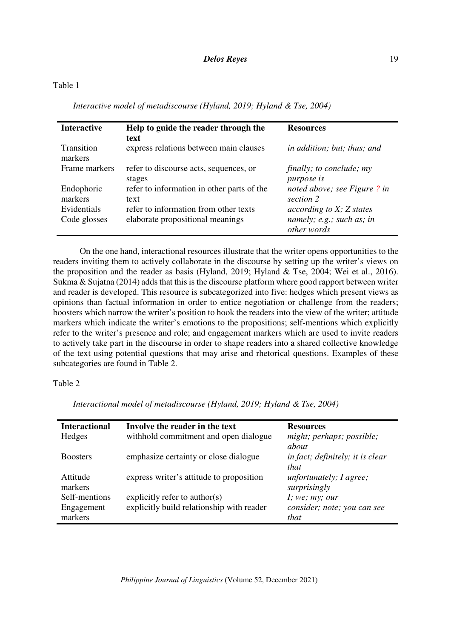*Interactive model of metadiscourse (Hyland, 2019; Hyland & Tse, 2004)* 

| <b>Interactive</b>          | Help to guide the reader through the<br>text                              | <b>Resources</b>                                                       |
|-----------------------------|---------------------------------------------------------------------------|------------------------------------------------------------------------|
| Transition<br>markers       | express relations between main clauses                                    | in addition; but; thus; and                                            |
| Frame markers               | refer to discourse acts, sequences, or<br>stages                          | finally; to conclude; my<br><i>purpose</i> is                          |
| Endophoric<br>markers       | refer to information in other parts of the<br>text                        | noted above; see Figure ? in<br>section 2                              |
| Evidentials<br>Code glosses | refer to information from other texts<br>elaborate propositional meanings | according to X; Z states<br>namely; $e.g.;$ such as; in<br>other words |

 On the one hand, interactional resources illustrate that the writer opens opportunities to the readers inviting them to actively collaborate in the discourse by setting up the writer's views on the proposition and the reader as basis (Hyland, 2019; Hyland & Tse, 2004; Wei et al., 2016). Sukma & Sujatna (2014) adds that this is the discourse platform where good rapport between writer and reader is developed. This resource is subcategorized into five: hedges which present views as opinions than factual information in order to entice negotiation or challenge from the readers; boosters which narrow the writer's position to hook the readers into the view of the writer; attitude markers which indicate the writer's emotions to the propositions; self-mentions which explicitly refer to the writer's presence and role; and engagement markers which are used to invite readers to actively take part in the discourse in order to shape readers into a shared collective knowledge of the text using potential questions that may arise and rhetorical questions. Examples of these subcategories are found in Table 2.

# Table 2

| <b>Interactional</b> | Involve the reader in the text            | <b>Resources</b>                 |
|----------------------|-------------------------------------------|----------------------------------|
| Hedges               | withhold commitment and open dialogue     | might; perhaps; possible;        |
|                      |                                           | about                            |
| <b>Boosters</b>      | emphasize certainty or close dialogue     | in fact; definitely; it is clear |
|                      |                                           | that                             |
| Attitude             | express writer's attitude to proposition  | unfortunately; I agree;          |
| markers              |                                           | surprisingly                     |
| Self-mentions        | explicitly refer to author(s)             | I; we; my; our                   |
| Engagement           | explicitly build relationship with reader | consider; note; you can see      |
| markers              |                                           | that                             |

*Interactional model of metadiscourse (Hyland, 2019; Hyland & Tse, 2004)*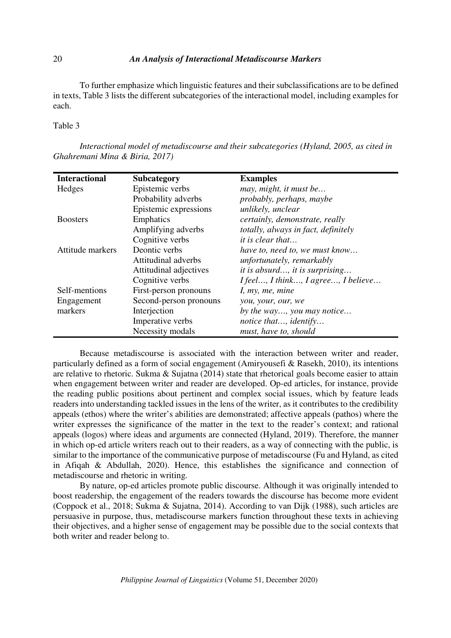### *An Analysis of Interactional Metadiscourse Markers*

 To further emphasize which linguistic features and their subclassifications are to be defined in texts, Table 3 lists the different subcategories of the interactional model, including examples for each.

### Table 3

*Interactional model of metadiscourse and their subcategories (Hyland, 2005, as cited in Ghahremani Mina & Biria, 2017)* 

| <b>Interactional</b> | <b>Subcategory</b>     | <b>Examples</b>                       |
|----------------------|------------------------|---------------------------------------|
| Hedges               | Epistemic verbs        | may, might, it must be                |
|                      | Probability adverbs    | probably, perhaps, maybe              |
|                      | Epistemic expressions  | unlikely, unclear                     |
| <b>Boosters</b>      | Emphatics              | certainly, demonstrate, really        |
|                      | Amplifying adverbs     | totally, always in fact, definitely   |
|                      | Cognitive verbs        | <i>it is clear that</i>               |
| Attitude markers     | Deontic verbs          | have to, need to, we must know        |
|                      | Attitudinal adverbs    | unfortunately, remarkably             |
|                      | Attitudinal adjectives | <i>it is absurd, it is surprising</i> |
|                      | Cognitive verbs        | I feel, I think, I agree, I believe   |
| Self-mentions        | First-person pronouns  | I, my, me, mine                       |
| Engagement           | Second-person pronouns | you, your, our, we                    |
| markers              | Interjection           | by the way, you may notice            |
|                      | Imperative verbs       | notice that, identify                 |
|                      | Necessity modals       | must, have to, should                 |

 Because metadiscourse is associated with the interaction between writer and reader, particularly defined as a form of social engagement (Amiryousefi & Rasekh, 2010), its intentions are relative to rhetoric. Sukma & Sujatna (2014) state that rhetorical goals become easier to attain when engagement between writer and reader are developed. Op-ed articles, for instance, provide the reading public positions about pertinent and complex social issues, which by feature leads readers into understanding tackled issues in the lens of the writer, as it contributes to the credibility appeals (ethos) where the writer's abilities are demonstrated; affective appeals (pathos) where the writer expresses the significance of the matter in the text to the reader's context; and rational appeals (logos) where ideas and arguments are connected (Hyland, 2019). Therefore, the manner in which op-ed article writers reach out to their readers, as a way of connecting with the public, is similar to the importance of the communicative purpose of metadiscourse (Fu and Hyland, as cited in Afiqah & Abdullah, 2020). Hence, this establishes the significance and connection of metadiscourse and rhetoric in writing.

 By nature, op-ed articles promote public discourse. Although it was originally intended to boost readership, the engagement of the readers towards the discourse has become more evident (Coppock et al., 2018; Sukma & Sujatna, 2014). According to van Dijk (1988), such articles are persuasive in purpose, thus, metadiscourse markers function throughout these texts in achieving their objectives, and a higher sense of engagement may be possible due to the social contexts that both writer and reader belong to.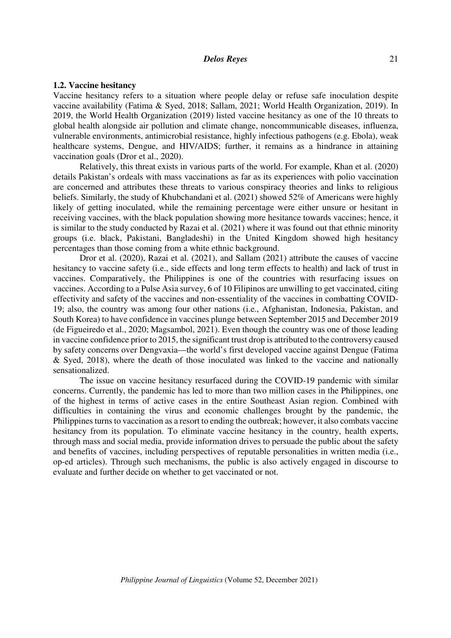### **1.2. Vaccine hesitancy**

Vaccine hesitancy refers to a situation where people delay or refuse safe inoculation despite vaccine availability (Fatima & Syed, 2018; Sallam, 2021; World Health Organization, 2019). In 2019, the World Health Organization (2019) listed vaccine hesitancy as one of the 10 threats to global health alongside air pollution and climate change, noncommunicable diseases, influenza, vulnerable environments, antimicrobial resistance, highly infectious pathogens (e.g. Ebola), weak healthcare systems, Dengue, and HIV/AIDS; further, it remains as a hindrance in attaining vaccination goals (Dror et al., 2020).

Relatively, this threat exists in various parts of the world. For example, Khan et al. (2020) details Pakistan's ordeals with mass vaccinations as far as its experiences with polio vaccination are concerned and attributes these threats to various conspiracy theories and links to religious beliefs. Similarly, the study of Khubchandani et al. (2021) showed 52% of Americans were highly likely of getting inoculated, while the remaining percentage were either unsure or hesitant in receiving vaccines, with the black population showing more hesitance towards vaccines; hence, it is similar to the study conducted by Razai et al. (2021) where it was found out that ethnic minority groups (i.e. black, Pakistani, Bangladeshi) in the United Kingdom showed high hesitancy percentages than those coming from a white ethnic background.

Dror et al. (2020), Razai et al. (2021), and Sallam (2021) attribute the causes of vaccine hesitancy to vaccine safety (i.e., side effects and long term effects to health) and lack of trust in vaccines. Comparatively, the Philippines is one of the countries with resurfacing issues on vaccines. According to a Pulse Asia survey, 6 of 10 Filipinos are unwilling to get vaccinated, citing effectivity and safety of the vaccines and non-essentiality of the vaccines in combatting COVID-19; also, the country was among four other nations (i.e., Afghanistan, Indonesia, Pakistan, and South Korea) to have confidence in vaccines plunge between September 2015 and December 2019 (de Figueiredo et al., 2020; Magsambol, 2021). Even though the country was one of those leading in vaccine confidence prior to 2015, the significant trust drop is attributed to the controversy caused by safety concerns over Dengvaxia—the world's first developed vaccine against Dengue (Fatima & Syed, 2018), where the death of those inoculated was linked to the vaccine and nationally sensationalized.

The issue on vaccine hesitancy resurfaced during the COVID-19 pandemic with similar concerns. Currently, the pandemic has led to more than two million cases in the Philippines, one of the highest in terms of active cases in the entire Southeast Asian region. Combined with difficulties in containing the virus and economic challenges brought by the pandemic, the Philippines turns to vaccination as a resort to ending the outbreak; however, it also combats vaccine hesitancy from its population. To eliminate vaccine hesitancy in the country, health experts, through mass and social media, provide information drives to persuade the public about the safety and benefits of vaccines, including perspectives of reputable personalities in written media (i.e., op-ed articles). Through such mechanisms, the public is also actively engaged in discourse to evaluate and further decide on whether to get vaccinated or not.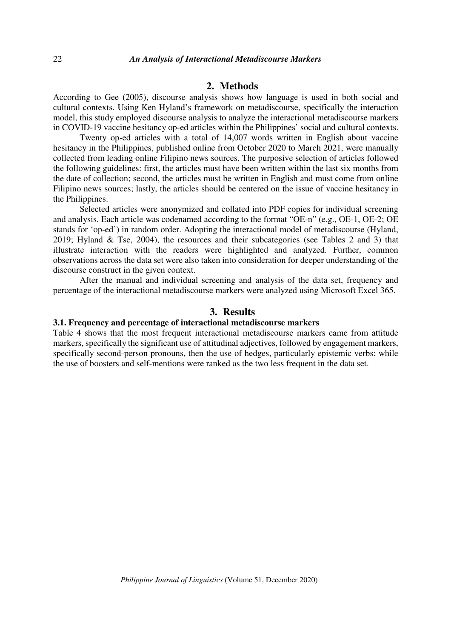# **2. Methods**

According to Gee (2005), discourse analysis shows how language is used in both social and cultural contexts. Using Ken Hyland's framework on metadiscourse, specifically the interaction model, this study employed discourse analysis to analyze the interactional metadiscourse markers in COVID-19 vaccine hesitancy op-ed articles within the Philippines' social and cultural contexts.

Twenty op-ed articles with a total of 14,007 words written in English about vaccine hesitancy in the Philippines, published online from October 2020 to March 2021, were manually collected from leading online Filipino news sources. The purposive selection of articles followed the following guidelines: first, the articles must have been written within the last six months from the date of collection; second, the articles must be written in English and must come from online Filipino news sources; lastly, the articles should be centered on the issue of vaccine hesitancy in the Philippines.

Selected articles were anonymized and collated into PDF copies for individual screening and analysis. Each article was codenamed according to the format "OE-n" (e.g., OE-1, OE-2; OE stands for 'op-ed') in random order. Adopting the interactional model of metadiscourse (Hyland, 2019; Hyland & Tse, 2004), the resources and their subcategories (see Tables 2 and 3) that illustrate interaction with the readers were highlighted and analyzed. Further, common observations across the data set were also taken into consideration for deeper understanding of the discourse construct in the given context.

After the manual and individual screening and analysis of the data set, frequency and percentage of the interactional metadiscourse markers were analyzed using Microsoft Excel 365.

# **3. Results**

#### **3.1. Frequency and percentage of interactional metadiscourse markers**

Table 4 shows that the most frequent interactional metadiscourse markers came from attitude markers, specifically the significant use of attitudinal adjectives, followed by engagement markers, specifically second-person pronouns, then the use of hedges, particularly epistemic verbs; while the use of boosters and self-mentions were ranked as the two less frequent in the data set.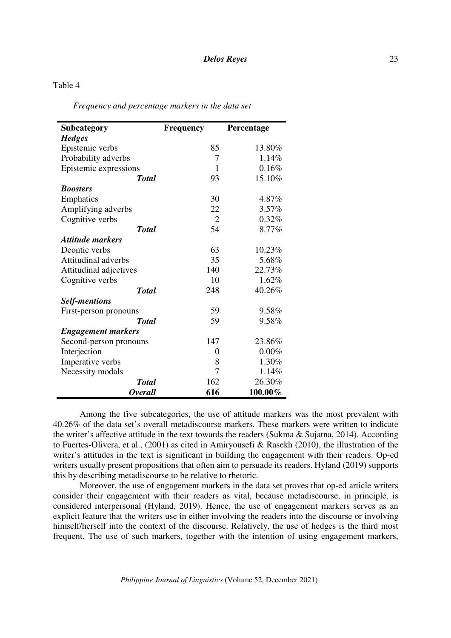# Table 4

*Frequency and percentage markers in the data set* 

| <b>Subcategory</b>        | <b>Frequency</b> | Percentage |
|---------------------------|------------------|------------|
| <b>Hedges</b>             |                  |            |
| Epistemic verbs           | 85               | 13.80%     |
| Probability adverbs       | 7                | 1.14%      |
| Epistemic expressions     | 1                | 0.16%      |
| <b>Total</b>              | 93               | 15.10%     |
| <b>Boosters</b>           |                  |            |
| Emphatics                 | 30               | 4.87%      |
| Amplifying adverbs        | 22               | 3.57%      |
| Cognitive verbs           | $\overline{2}$   | 0.32%      |
| <b>Total</b>              | 54               | 8.77%      |
| <b>Attitude markers</b>   |                  |            |
| Deontic verbs             | 63               | 10.23%     |
| Attitudinal adverbs       | 35               | 5.68%      |
| Attitudinal adjectives    | 140              | 22.73%     |
| Cognitive verbs           | 10               | 1.62%      |
| <b>Total</b>              | 248              | 40.26%     |
| <b>Self-mentions</b>      |                  |            |
| First-person pronouns     | 59               | 9.58%      |
| <b>Total</b>              | 59               | 9.58%      |
| <b>Engagement markers</b> |                  |            |
| Second-person pronouns    | 147              | 23.86%     |
| Interjection              | 0                | 0.00%      |
| Imperative verbs          | 8                | 1.30%      |
| Necessity modals          | 7                | 1.14%      |
| <b>Total</b>              | 162              | 26.30%     |
| <i><b>Overall</b></i>     | 616              | 100.00%    |

Among the five subcategories, the use of attitude markers was the most prevalent with 40.26% of the data set's overall metadiscourse markers. These markers were written to indicate the writer's affective attitude in the text towards the readers (Sukma & Sujatna, 2014). According to Fuertes-Olivera, et al., (2001) as cited in Amiryousefi & Rasekh (2010), the illustration of the writer's attitudes in the text is significant in building the engagement with their readers. Op-ed writers usually present propositions that often aim to persuade its readers. Hyland (2019) supports this by describing metadiscourse to be relative to rhetoric.

Moreover, the use of engagement markers in the data set proves that op-ed article writers consider their engagement with their readers as vital, because metadiscourse, in principle, is considered interpersonal (Hyland, 2019). Hence, the use of engagement markers serves as an explicit feature that the writers use in either involving the readers into the discourse or involving himself/herself into the context of the discourse. Relatively, the use of hedges is the third most frequent. The use of such markers, together with the intention of using engagement markers,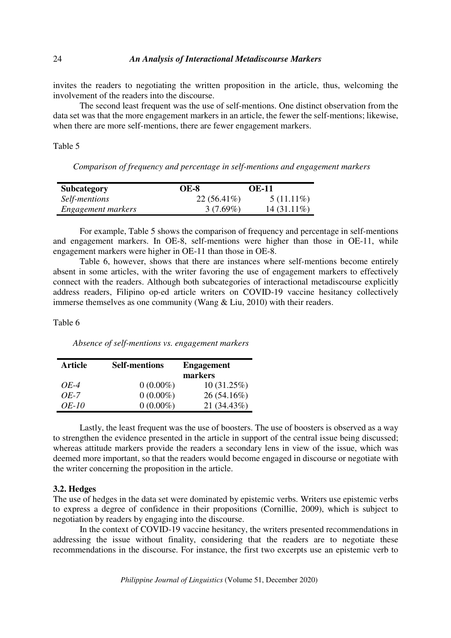invites the readers to negotiating the written proposition in the article, thus, welcoming the involvement of the readers into the discourse.

The second least frequent was the use of self-mentions. One distinct observation from the data set was that the more engagement markers in an article, the fewer the self-mentions; likewise, when there are more self-mentions, there are fewer engagement markers.

Table 5

*Comparison of frequency and percentage in self-mentions and engagement markers* 

| <b>Subcategory</b> | <b>OE-8</b>   | <b>OE-11</b>  |
|--------------------|---------------|---------------|
| Self-mentions      | $22(56.41\%)$ | $5(11.11\%)$  |
| Engagement markers | $3(7.69\%)$   | $14(31.11\%)$ |

For example, Table 5 shows the comparison of frequency and percentage in self-mentions and engagement markers. In OE-8, self-mentions were higher than those in OE-11, while engagement markers were higher in OE-11 than those in OE-8.

Table 6, however, shows that there are instances where self-mentions become entirely absent in some articles, with the writer favoring the use of engagement markers to effectively connect with the readers. Although both subcategories of interactional metadiscourse explicitly address readers, Filipino op-ed article writers on COVID-19 vaccine hesitancy collectively immerse themselves as one community (Wang & Liu, 2010) with their readers.

Table 6

*Absence of self-mentions vs. engagement markers* 

| <b>Article</b> | <b>Self-mentions</b> | <b>Engagement</b> |
|----------------|----------------------|-------------------|
|                |                      | markers           |
| <i>OE-4</i>    | $0(0.00\%)$          | 10(31.25%)        |
| $OE-7$         | $0(0.00\%)$          | 26 (54.16%)       |
| <i>OE-10</i>   | $0(0.00\%)$          | 21 (34.43%)       |

Lastly, the least frequent was the use of boosters. The use of boosters is observed as a way to strengthen the evidence presented in the article in support of the central issue being discussed; whereas attitude markers provide the readers a secondary lens in view of the issue, which was deemed more important, so that the readers would become engaged in discourse or negotiate with the writer concerning the proposition in the article.

#### **3.2. Hedges**

The use of hedges in the data set were dominated by epistemic verbs. Writers use epistemic verbs to express a degree of confidence in their propositions (Cornillie, 2009), which is subject to negotiation by readers by engaging into the discourse.

In the context of COVID-19 vaccine hesitancy, the writers presented recommendations in addressing the issue without finality, considering that the readers are to negotiate these recommendations in the discourse. For instance, the first two excerpts use an epistemic verb to

*Philippine Journal of Linguistics* (Volume 51, December 2020)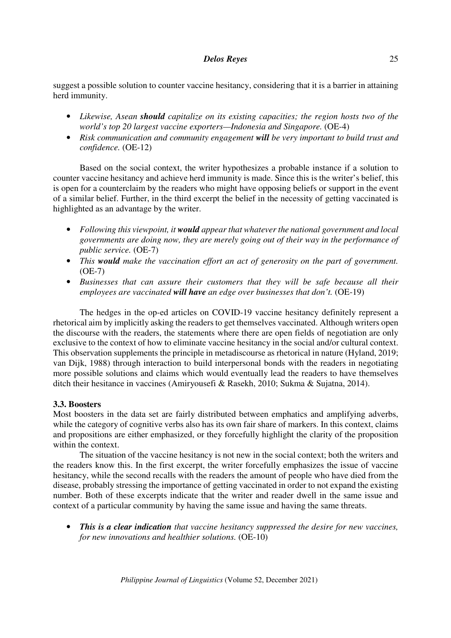suggest a possible solution to counter vaccine hesitancy, considering that it is a barrier in attaining herd immunity.

- *Likewise, Asean should capitalize on its existing capacities; the region hosts two of the world's top 20 largest vaccine exporters—Indonesia and Singapore.* (OE-4)
- *Risk communication and community engagement will be very important to build trust and confidence.* (OE-12)

Based on the social context, the writer hypothesizes a probable instance if a solution to counter vaccine hesitancy and achieve herd immunity is made. Since this is the writer's belief, this is open for a counterclaim by the readers who might have opposing beliefs or support in the event of a similar belief. Further, in the third excerpt the belief in the necessity of getting vaccinated is highlighted as an advantage by the writer.

- *Following this viewpoint, it would appear that whatever the national government and local governments are doing now, they are merely going out of their way in the performance of public service.* (OE-7)
- *This would make the vaccination effort an act of generosity on the part of government.*  (OE-7)
- *Businesses that can assure their customers that they will be safe because all their employees are vaccinated will have an edge over businesses that don't.* (OE-19)

The hedges in the op-ed articles on COVID-19 vaccine hesitancy definitely represent a rhetorical aim by implicitly asking the readers to get themselves vaccinated. Although writers open the discourse with the readers, the statements where there are open fields of negotiation are only exclusive to the context of how to eliminate vaccine hesitancy in the social and/or cultural context. This observation supplements the principle in metadiscourse as rhetorical in nature (Hyland, 2019; van Dijk, 1988) through interaction to build interpersonal bonds with the readers in negotiating more possible solutions and claims which would eventually lead the readers to have themselves ditch their hesitance in vaccines (Amiryousefi & Rasekh, 2010; Sukma & Sujatna, 2014).

# **3.3. Boosters**

Most boosters in the data set are fairly distributed between emphatics and amplifying adverbs, while the category of cognitive verbs also has its own fair share of markers. In this context, claims and propositions are either emphasized, or they forcefully highlight the clarity of the proposition within the context.

The situation of the vaccine hesitancy is not new in the social context; both the writers and the readers know this. In the first excerpt, the writer forcefully emphasizes the issue of vaccine hesitancy, while the second recalls with the readers the amount of people who have died from the disease, probably stressing the importance of getting vaccinated in order to not expand the existing number. Both of these excerpts indicate that the writer and reader dwell in the same issue and context of a particular community by having the same issue and having the same threats.

• *This is a clear indication that vaccine hesitancy suppressed the desire for new vaccines, for new innovations and healthier solutions.* (OE-10)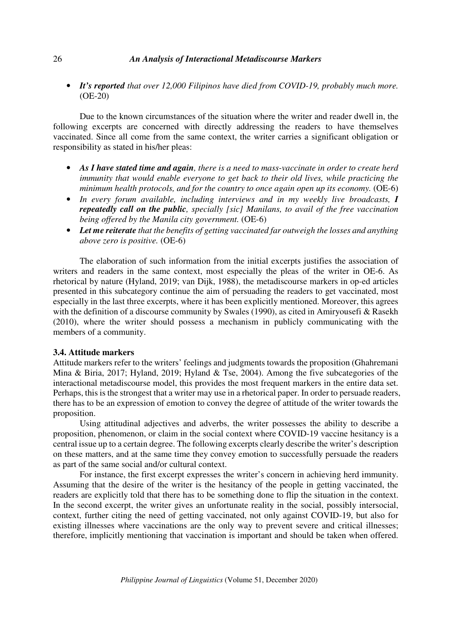### *An Analysis of Interactional Metadiscourse Markers*

• *It's reported that over 12,000 Filipinos have died from COVID-19, probably much more.* (OE-20)

Due to the known circumstances of the situation where the writer and reader dwell in, the following excerpts are concerned with directly addressing the readers to have themselves vaccinated. Since all come from the same context, the writer carries a significant obligation or responsibility as stated in his/her pleas:

- *As I have stated time and again, there is a need to mass-vaccinate in order to create herd immunity that would enable everyone to get back to their old lives, while practicing the minimum health protocols, and for the country to once again open up its economy.* (OE-6)
- *In every forum available, including interviews and in my weekly live broadcasts, I repeatedly call on the public, specially [sic] Manilans, to avail of the free vaccination being offered by the Manila city government.* (OE-6)
- *Let me reiterate that the benefits of getting vaccinated far outweigh the losses and anything above zero is positive.* (OE-6)

The elaboration of such information from the initial excerpts justifies the association of writers and readers in the same context, most especially the pleas of the writer in OE-6. As rhetorical by nature (Hyland, 2019; van Dijk, 1988), the metadiscourse markers in op-ed articles presented in this subcategory continue the aim of persuading the readers to get vaccinated, most especially in the last three excerpts, where it has been explicitly mentioned. Moreover, this agrees with the definition of a discourse community by Swales (1990), as cited in Amiryousefi & Rasekh (2010), where the writer should possess a mechanism in publicly communicating with the members of a community.

#### **3.4. Attitude markers**

Attitude markers refer to the writers' feelings and judgments towards the proposition (Ghahremani Mina & Biria, 2017; Hyland, 2019; Hyland & Tse, 2004). Among the five subcategories of the interactional metadiscourse model, this provides the most frequent markers in the entire data set. Perhaps, this is the strongest that a writer may use in a rhetorical paper. In order to persuade readers, there has to be an expression of emotion to convey the degree of attitude of the writer towards the proposition.

 Using attitudinal adjectives and adverbs, the writer possesses the ability to describe a proposition, phenomenon, or claim in the social context where COVID-19 vaccine hesitancy is a central issue up to a certain degree. The following excerpts clearly describe the writer's description on these matters, and at the same time they convey emotion to successfully persuade the readers as part of the same social and/or cultural context.

 For instance, the first excerpt expresses the writer's concern in achieving herd immunity. Assuming that the desire of the writer is the hesitancy of the people in getting vaccinated, the readers are explicitly told that there has to be something done to flip the situation in the context. In the second excerpt, the writer gives an unfortunate reality in the social, possibly intersocial, context, further citing the need of getting vaccinated, not only against COVID-19, but also for existing illnesses where vaccinations are the only way to prevent severe and critical illnesses; therefore, implicitly mentioning that vaccination is important and should be taken when offered.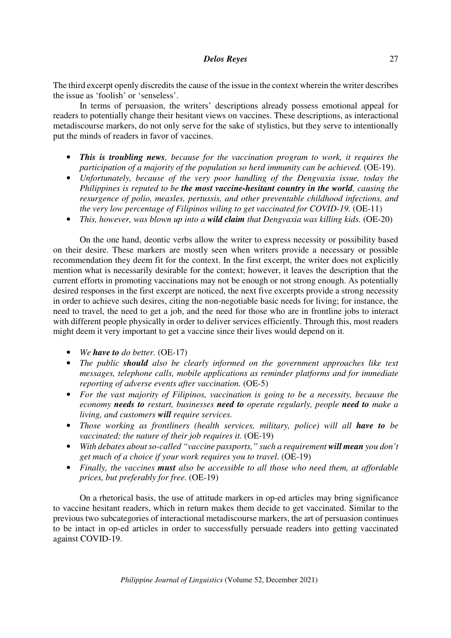The third excerpt openly discredits the cause of the issue in the context wherein the writer describes the issue as 'foolish' or 'senseless'.

In terms of persuasion, the writers' descriptions already possess emotional appeal for readers to potentially change their hesitant views on vaccines. These descriptions, as interactional metadiscourse markers, do not only serve for the sake of stylistics, but they serve to intentionally put the minds of readers in favor of vaccines.

- *This is troubling news, because for the vaccination program to work, it requires the participation of a majority of the population so herd immunity can be achieved.* (OE-19).
- *Unfortunately, because of the very poor handling of the Dengvaxia issue, today the Philippines is reputed to be the most vaccine-hesitant country in the world, causing the resurgence of polio, measles, pertussis, and other preventable childhood infections, and the very low percentage of Filipinos wiling to get vaccinated for COVID-19.* (OE-11)
- *This, however, was blown up into a wild claim that Dengvaxia was killing kids.* (OE-20)

On the one hand, deontic verbs allow the writer to express necessity or possibility based on their desire. These markers are mostly seen when writers provide a necessary or possible recommendation they deem fit for the context. In the first excerpt, the writer does not explicitly mention what is necessarily desirable for the context; however, it leaves the description that the current efforts in promoting vaccinations may not be enough or not strong enough. As potentially desired responses in the first excerpt are noticed, the next five excerpts provide a strong necessity in order to achieve such desires, citing the non-negotiable basic needs for living; for instance, the need to travel, the need to get a job, and the need for those who are in frontline jobs to interact with different people physically in order to deliver services efficiently. Through this, most readers might deem it very important to get a vaccine since their lives would depend on it.

- *We have to do better.* (OE-17)
- *The public should also be clearly informed on the government approaches like text messages, telephone calls, mobile applications as reminder platforms and for immediate reporting of adverse events after vaccination.* (OE-5)
- *For the vast majority of Filipinos, vaccination is going to be a necessity, because the economy needs to restart, businesses need to operate regularly, people need to make a living, and customers will require services.*
- *Those working as frontliners (health services, military, police) will all have to be vaccinated; the nature of their job requires it.*  $(OE-19)$
- *With debates about so-called "vaccine passports," such a requirement will mean you don't get much of a choice if your work requires you to travel.* (OE-19)
- *Finally, the vaccines must also be accessible to all those who need them, at affordable prices, but preferably for free.* (OE-19)

On a rhetorical basis, the use of attitude markers in op-ed articles may bring significance to vaccine hesitant readers, which in return makes them decide to get vaccinated. Similar to the previous two subcategories of interactional metadiscourse markers, the art of persuasion continues to be intact in op-ed articles in order to successfully persuade readers into getting vaccinated against COVID-19.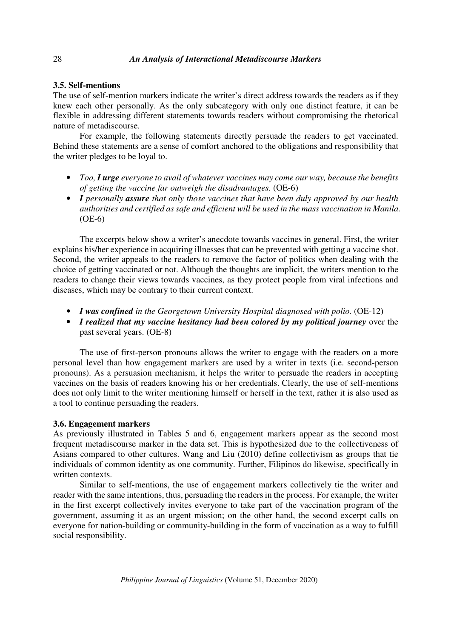### **3.5. Self-mentions**

The use of self-mention markers indicate the writer's direct address towards the readers as if they knew each other personally. As the only subcategory with only one distinct feature, it can be flexible in addressing different statements towards readers without compromising the rhetorical nature of metadiscourse.

 For example, the following statements directly persuade the readers to get vaccinated. Behind these statements are a sense of comfort anchored to the obligations and responsibility that the writer pledges to be loyal to.

- *Too, I urge everyone to avail of whatever vaccines may come our way, because the benefits of getting the vaccine far outweigh the disadvantages.* (OE-6)
- *I personally assure that only those vaccines that have been duly approved by our health authorities and certified as safe and efficient will be used in the mass vaccination in Manila.* (OE-6)

The excerpts below show a writer's anecdote towards vaccines in general. First, the writer explains his/her experience in acquiring illnesses that can be prevented with getting a vaccine shot. Second, the writer appeals to the readers to remove the factor of politics when dealing with the choice of getting vaccinated or not. Although the thoughts are implicit, the writers mention to the readers to change their views towards vaccines, as they protect people from viral infections and diseases, which may be contrary to their current context.

- *I was confined in the Georgetown University Hospital diagnosed with polio.* (OE-12)
- *I realized that my vaccine hesitancy had been colored by my political journey* over the past several years. (OE-8)

The use of first-person pronouns allows the writer to engage with the readers on a more personal level than how engagement markers are used by a writer in texts (i.e. second-person pronouns). As a persuasion mechanism, it helps the writer to persuade the readers in accepting vaccines on the basis of readers knowing his or her credentials. Clearly, the use of self-mentions does not only limit to the writer mentioning himself or herself in the text, rather it is also used as a tool to continue persuading the readers.

#### **3.6. Engagement markers**

As previously illustrated in Tables 5 and 6, engagement markers appear as the second most frequent metadiscourse marker in the data set. This is hypothesized due to the collectiveness of Asians compared to other cultures. Wang and Liu (2010) define collectivism as groups that tie individuals of common identity as one community. Further, Filipinos do likewise, specifically in written contexts.

 Similar to self-mentions, the use of engagement markers collectively tie the writer and reader with the same intentions, thus, persuading the readers in the process. For example, the writer in the first excerpt collectively invites everyone to take part of the vaccination program of the government, assuming it as an urgent mission; on the other hand, the second excerpt calls on everyone for nation-building or community-building in the form of vaccination as a way to fulfill social responsibility.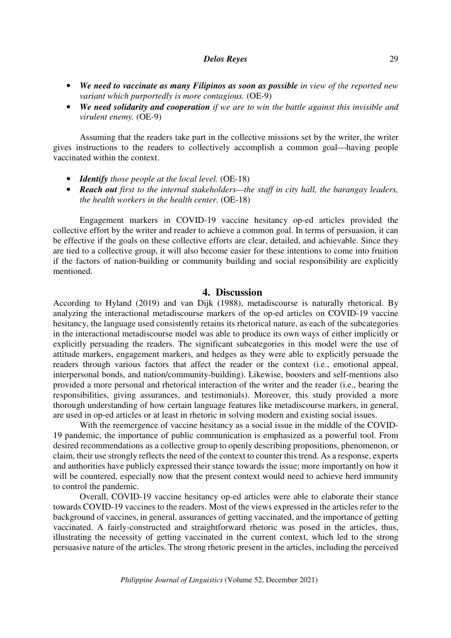- *We need to vaccinate as many Filipinos as soon as possible in view of the reported new variant which purportedly is more contagious.* (OE-9)
- *We need solidarity and cooperation if we are to win the battle against this invisible and virulent enemy.* (OE-9)

Assuming that the readers take part in the collective missions set by the writer, the writer gives instructions to the readers to collectively accomplish a common goal—having people vaccinated within the context.

- *Identify those people at the local level.* (OE-18)
- *Reach out first to the internal stakeholders—the staff in city hall, the barangay leaders, the health workers in the health center.* (OE-18)

Engagement markers in COVID-19 vaccine hesitancy op-ed articles provided the collective effort by the writer and reader to achieve a common goal. In terms of persuasion, it can be effective if the goals on these collective efforts are clear, detailed, and achievable. Since they are tied to a collective group, it will also become easier for these intentions to come into fruition if the factors of nation-building or community building and social responsibility are explicitly mentioned.

# **4. Discussion**

According to Hyland (2019) and van Dijk (1988), metadiscourse is naturally rhetorical. By analyzing the interactional metadiscourse markers of the op-ed articles on COVID-19 vaccine hesitancy, the language used consistently retains its rhetorical nature, as each of the subcategories in the interactional metadiscourse model was able to produce its own ways of either implicitly or explicitly persuading the readers. The significant subcategories in this model were the use of attitude markers, engagement markers, and hedges as they were able to explicitly persuade the readers through various factors that affect the reader or the context (i.e., emotional appeal, interpersonal bonds, and nation/community-building). Likewise, boosters and self-mentions also provided a more personal and rhetorical interaction of the writer and the reader (i.e., bearing the responsibilities, giving assurances, and testimonials). Moreover, this study provided a more thorough understanding of how certain language features like metadiscourse markers, in general, are used in op-ed articles or at least in rhetoric in solving modern and existing social issues.

 With the reemergence of vaccine hesitancy as a social issue in the middle of the COVID-19 pandemic, the importance of public communication is emphasized as a powerful tool. From desired recommendations as a collective group to openly describing propositions, phenomenon, or claim, their use strongly reflects the need of the context to counter this trend. As a response, experts and authorities have publicly expressed their stance towards the issue; more importantly on how it will be countered, especially now that the present context would need to achieve herd immunity to control the pandemic.

 Overall, COVID-19 vaccine hesitancy op-ed articles were able to elaborate their stance towards COVID-19 vaccines to the readers. Most of the views expressed in the articles refer to the background of vaccines, in general, assurances of getting vaccinated, and the importance of getting vaccinated. A fairly-constructed and straightforward rhetoric was posed in the articles, thus, illustrating the necessity of getting vaccinated in the current context, which led to the strong persuasive nature of the articles. The strong rhetoric present in the articles, including the perceived

*Philippine Journal of Linguistics* (Volume 52, December 2021)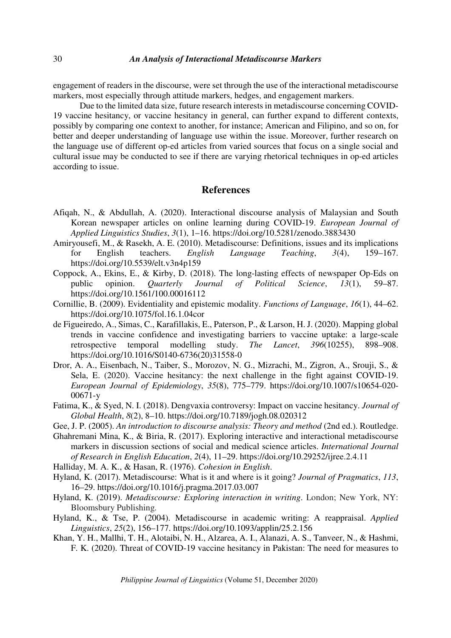engagement of readers in the discourse, were set through the use of the interactional metadiscourse markers, most especially through attitude markers, hedges, and engagement markers.

 Due to the limited data size, future research interests in metadiscourse concerning COVID-19 vaccine hesitancy, or vaccine hesitancy in general, can further expand to different contexts, possibly by comparing one context to another, for instance; American and Filipino, and so on, for better and deeper understanding of language use within the issue. Moreover, further research on the language use of different op-ed articles from varied sources that focus on a single social and cultural issue may be conducted to see if there are varying rhetorical techniques in op-ed articles according to issue.

# **References**

- Afiqah, N., & Abdullah, A. (2020). Interactional discourse analysis of Malaysian and South Korean newspaper articles on online learning during COVID-19. *European Journal of Applied Linguistics Studies*, *3*(1), 1–16. https://doi.org/10.5281/zenodo.3883430
- Amiryousefi, M., & Rasekh, A. E. (2010). Metadiscourse: Definitions, issues and its implications for English teachers. *English Language Teaching*, *3*(4), 159–167. https://doi.org/10.5539/elt.v3n4p159
- Coppock, A., Ekins, E., & Kirby, D. (2018). The long-lasting effects of newspaper Op-Eds on public opinion. *Quarterly Journal of Political Science*, *13*(1), 59–87. https://doi.org/10.1561/100.00016112
- Cornillie, B. (2009). Evidentiality and epistemic modality. *Functions of Language*, *16*(1), 44–62. https://doi.org/10.1075/fol.16.1.04cor
- de Figueiredo, A., Simas, C., Karafillakis, E., Paterson, P., & Larson, H. J. (2020). Mapping global trends in vaccine confidence and investigating barriers to vaccine uptake: a large-scale retrospective temporal modelling study. *The Lancet*, *396*(10255), 898–908. https://doi.org/10.1016/S0140-6736(20)31558-0
- Dror, A. A., Eisenbach, N., Taiber, S., Morozov, N. G., Mizrachi, M., Zigron, A., Srouji, S., & Sela, E. (2020). Vaccine hesitancy: the next challenge in the fight against COVID-19. *European Journal of Epidemiology*, *35*(8), 775–779. https://doi.org/10.1007/s10654-020- 00671-y
- Fatima, K., & Syed, N. I. (2018). Dengvaxia controversy: Impact on vaccine hesitancy. *Journal of Global Health*, *8*(2), 8–10. https://doi.org/10.7189/jogh.08.020312
- Gee, J. P. (2005). *An introduction to discourse analysis: Theory and method* (2nd ed.). Routledge.
- Ghahremani Mina, K., & Biria, R. (2017). Exploring interactive and interactional metadiscourse markers in discussion sections of social and medical science articles. *International Journal of Research in English Education*, *2*(4), 11–29. https://doi.org/10.29252/ijree.2.4.11
- Halliday, M. A. K., & Hasan, R. (1976). *Cohesion in English*.
- Hyland, K. (2017). Metadiscourse: What is it and where is it going? *Journal of Pragmatics*, *113*, 16–29. https://doi.org/10.1016/j.pragma.2017.03.007
- Hyland, K. (2019). *Metadiscourse: Exploring interaction in writing*. London; New York, NY: Bloomsbury Publishing.
- Hyland, K., & Tse, P. (2004). Metadiscourse in academic writing: A reappraisal. *Applied Linguistics*, *25*(2), 156–177. https://doi.org/10.1093/applin/25.2.156
- Khan, Y. H., Mallhi, T. H., Alotaibi, N. H., Alzarea, A. I., Alanazi, A. S., Tanveer, N., & Hashmi, F. K. (2020). Threat of COVID-19 vaccine hesitancy in Pakistan: The need for measures to

*Philippine Journal of Linguistics* (Volume 51, December 2020)